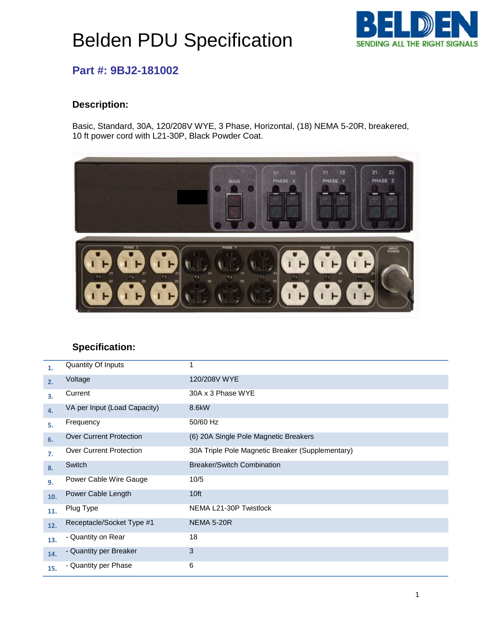# Belden PDU Specification



### **Part #: 9BJ2-181002**

#### **Description:**

Basic, Standard, 30A, 120/208V WYE, 3 Phase, Horizontal, (18) NEMA 5-20R, breakered, 10 ft power cord with L21-30P, Black Powder Coat.



### **Specification:**

| 1.  | Quantity Of Inputs             | 1                                                |
|-----|--------------------------------|--------------------------------------------------|
| 2.  | Voltage                        | 120/208V WYE                                     |
| 3.  | Current                        | 30A x 3 Phase WYE                                |
| 4.  | VA per Input (Load Capacity)   | 8.6kW                                            |
| 5.  | Frequency                      | 50/60 Hz                                         |
| 6.  | <b>Over Current Protection</b> | (6) 20A Single Pole Magnetic Breakers            |
| 7.  | <b>Over Current Protection</b> | 30A Triple Pole Magnetic Breaker (Supplementary) |
| 8.  | Switch                         | <b>Breaker/Switch Combination</b>                |
| 9.  | Power Cable Wire Gauge         | 10/5                                             |
| 10. | Power Cable Length             | 10 <sup>ft</sup>                                 |
| 11. | Plug Type                      | NEMA L21-30P Twistlock                           |
| 12. | Receptacle/Socket Type #1      | <b>NEMA 5-20R</b>                                |
| 13. | - Quantity on Rear             | 18                                               |
| 14. | - Quantity per Breaker         | 3                                                |
| 15. | - Quantity per Phase           | 6                                                |
|     |                                |                                                  |